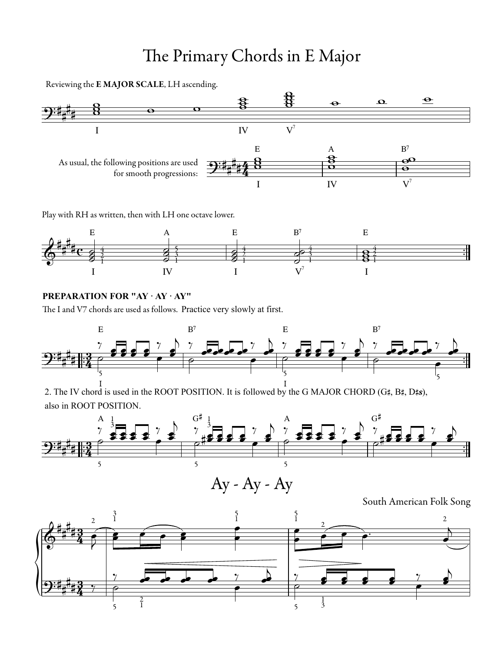## The Primary Chords in E Major

Reviewing the E MAJOR SCALE, LH ascending.



Play with RH as written, then with LH one octave lower.



## **PREPARATION FOR "AY · AY · AY"**

The I and V7 chords are used as follows. Practice very slowly at first.



2. The IV chord is used in the ROOT POSITION. It is followed by the G MAJOR CHORD (G#, B#, D#s), also in ROOT POSITION.



South American Folk Song